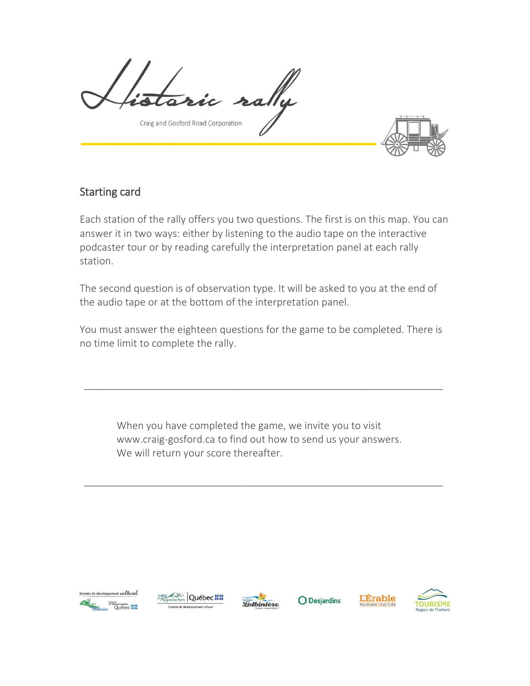Craig and Gosford Road Corporation

## Starting card

Each station of the rally offers you two questions. The first is on this map. You can answer it in two ways: either by listening to the audio tape on the interactive podcaster tour or by reading carefully the interpretation panel at each rally station.

The second question is of observation type. It will be asked to you at the end of the audio tape or at the bottom of the interpretation panel.

You must answer the eighteen questions for the game to be completed. There is no time limit to complete the rally.

\_\_\_\_\_\_\_\_\_\_\_\_\_\_\_\_\_\_\_\_\_\_\_\_\_\_\_\_\_\_\_\_\_\_\_\_\_\_\_\_\_\_\_\_\_\_\_\_\_\_\_\_\_\_\_\_\_\_\_\_\_\_\_\_

When you have completed the game, we invite you to visit www.craig-gosford.ca to find out how to send us your answers. We will return your score thereafter.

\_\_\_\_\_\_\_\_\_\_\_\_\_\_\_\_\_\_\_\_\_\_\_\_\_\_\_\_\_\_\_\_\_\_\_\_\_\_\_\_\_\_\_\_\_\_\_\_\_\_\_\_\_\_\_\_\_\_\_\_\_\_\_\_







 $\bigcirc$  Desjardins



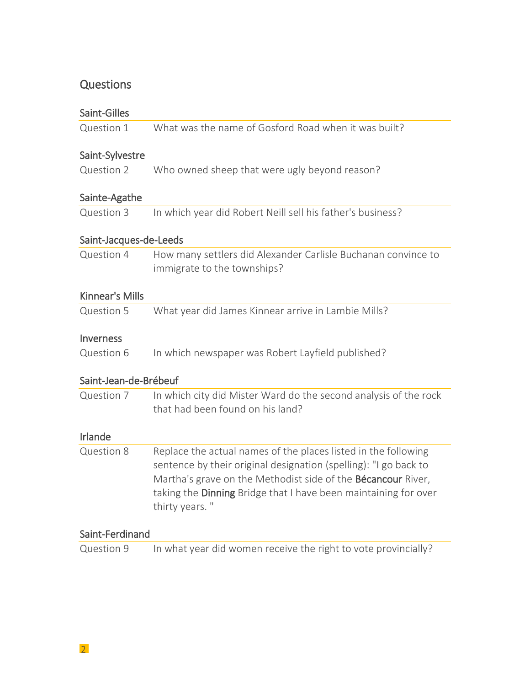# **Questions**

| Saint-Gilles           |                                                                                                                                                                                                                                                                                                |
|------------------------|------------------------------------------------------------------------------------------------------------------------------------------------------------------------------------------------------------------------------------------------------------------------------------------------|
| Question 1             | What was the name of Gosford Road when it was built?                                                                                                                                                                                                                                           |
| Saint-Sylvestre        |                                                                                                                                                                                                                                                                                                |
| Question 2             | Who owned sheep that were ugly beyond reason?                                                                                                                                                                                                                                                  |
| Sainte-Agathe          |                                                                                                                                                                                                                                                                                                |
| Question 3             | In which year did Robert Neill sell his father's business?                                                                                                                                                                                                                                     |
| Saint-Jacques-de-Leeds |                                                                                                                                                                                                                                                                                                |
| Question 4             | How many settlers did Alexander Carlisle Buchanan convince to<br>immigrate to the townships?                                                                                                                                                                                                   |
| Kinnear's Mills        |                                                                                                                                                                                                                                                                                                |
| Question 5             | What year did James Kinnear arrive in Lambie Mills?                                                                                                                                                                                                                                            |
| <b>Inverness</b>       |                                                                                                                                                                                                                                                                                                |
| Question 6             | In which newspaper was Robert Layfield published?                                                                                                                                                                                                                                              |
| Saint-Jean-de-Brébeuf  |                                                                                                                                                                                                                                                                                                |
| Question 7             | In which city did Mister Ward do the second analysis of the rock<br>that had been found on his land?                                                                                                                                                                                           |
| Irlande                |                                                                                                                                                                                                                                                                                                |
| Question 8             | Replace the actual names of the places listed in the following<br>sentence by their original designation (spelling): "I go back to<br>Martha's grave on the Methodist side of the <b>Bécancour</b> River,<br>taking the Dinning Bridge that I have been maintaining for over<br>thirty years." |
| Saint-Ferdinand        |                                                                                                                                                                                                                                                                                                |
| Question 9             | In what year did women receive the right to vote provincially?                                                                                                                                                                                                                                 |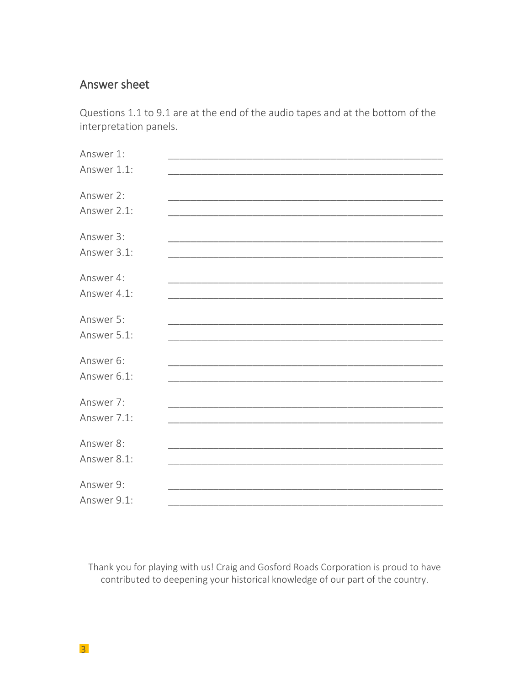## Answer sheet

Questions 1.1 to 9.1 are at the end of the audio tapes and at the bottom of the interpretation panels.

| Answer 1:   |  |
|-------------|--|
| Answer 1.1: |  |
|             |  |
| Answer 2:   |  |
| Answer 2.1: |  |
|             |  |
| Answer 3:   |  |
| Answer 3.1: |  |
|             |  |
| Answer 4:   |  |
| Answer 4.1: |  |
|             |  |
| Answer 5:   |  |
| Answer 5.1: |  |
| Answer 6:   |  |
| Answer 6.1: |  |
|             |  |
| Answer 7:   |  |
| Answer 7.1: |  |
|             |  |
| Answer 8:   |  |
| Answer 8.1: |  |
|             |  |
| Answer 9:   |  |
| Answer 9.1: |  |

Thank you for playing with us! Craig and Gosford Roads Corporation is proud to have contributed to deepening your historical knowledge of our part of the country.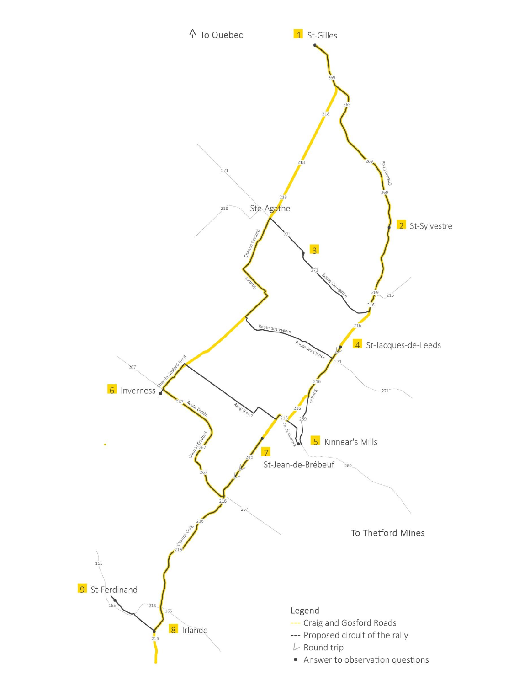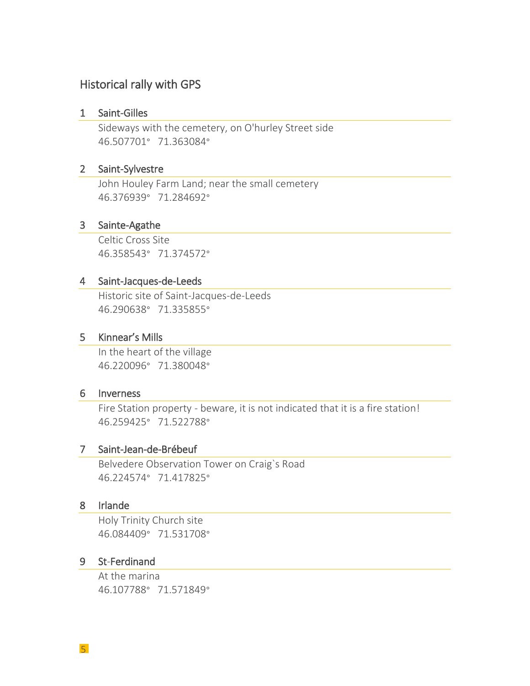# Historical rally with GPS

#### 1 Saint-Gilles

Sideways with the cemetery, on O'hurley Street side 46.507701° 71.363084°

#### 2 Saint-Sylvestre

John Houley Farm Land; near the small cemetery 46.376939° 71.284692°

#### 3 Sainte-Agathe

Celtic Cross Site 46.358543° 71.374572°

### 4 Saint-Jacques-de-Leeds

Historic site of Saint-Jacques-de-Leeds 46.290638° 71.335855°

#### 5 Kinnear's Mills

In the heart of the village 46.220096° 71.380048°

#### 6 Inverness

Fire Station property - beware, it is not indicated that it is a fire station! 46.259425° 71.522788°

#### 7 Saint-Jean-de-Brébeuf

Belvedere Observation Tower on Craig`s Road 46.224574° 71.417825°

### 8 Irlande

Holy Trinity Church site 46.084409° 71.531708°

### 9 St-Ferdinand

At the marina 46.107788° 71.571849°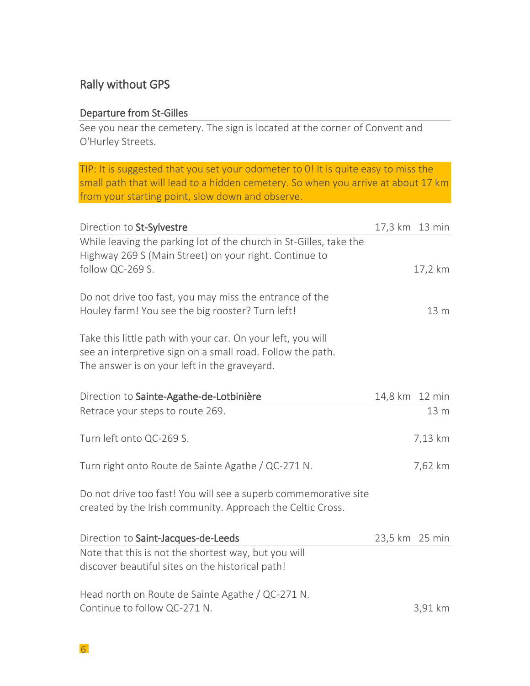## Rally without GPS

## Departure from St-Gilles

See you near the cemetery. The sign is located at the corner of Convent and O'Hurley Streets.

TIP: It is suggested that you set your odometer to 0! It is quite easy to miss the small path that will lead to a hidden cemetery. So when you arrive at about 17 km from your starting point, slow down and observe.

| Direction to St-Sylvestre                                                                                                                                                 | 17,3 km 13 min |         |
|---------------------------------------------------------------------------------------------------------------------------------------------------------------------------|----------------|---------|
| While leaving the parking lot of the church in St-Gilles, take the<br>Highway 269 S (Main Street) on your right. Continue to<br>follow QC-269 S.                          |                | 17,2 km |
| Do not drive too fast, you may miss the entrance of the<br>Houley farm! You see the big rooster? Turn left!                                                               |                | 13 m    |
| Take this little path with your car. On your left, you will<br>see an interpretive sign on a small road. Follow the path.<br>The answer is on your left in the graveyard. |                |         |
| Direction to Sainte-Agathe-de-Lotbinière                                                                                                                                  | 14,8 km 12 min |         |
| Retrace your steps to route 269.                                                                                                                                          |                | 13 m    |
| Turn left onto QC-269 S.                                                                                                                                                  |                | 7,13 km |
| Turn right onto Route de Sainte Agathe / QC-271 N.                                                                                                                        |                | 7,62 km |
| Do not drive too fast! You will see a superb commemorative site<br>created by the Irish community. Approach the Celtic Cross.                                             |                |         |
| Direction to Saint-Jacques-de-Leeds                                                                                                                                       | 23,5 km 25 min |         |
| Note that this is not the shortest way, but you will<br>discover beautiful sites on the historical path!                                                                  |                |         |
| Head north on Route de Sainte Agathe / QC-271 N.<br>Continue to follow QC-271 N.                                                                                          |                | 3,91 km |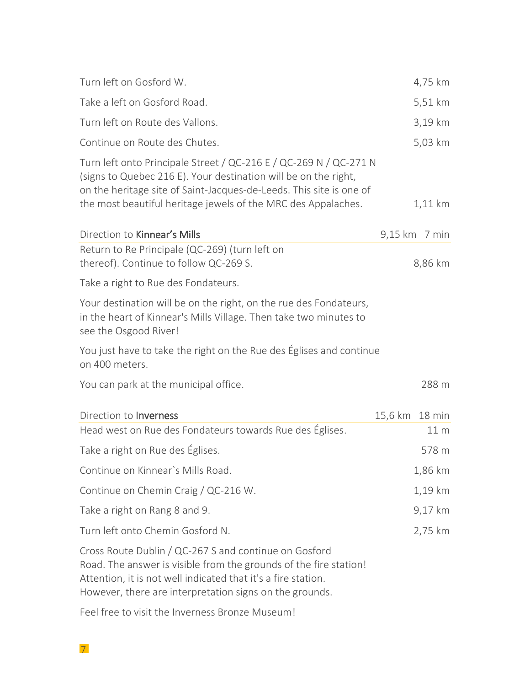| Turn left on Gosford W.                                                                                                                                                                                                                                                      | 4,75 km         |
|------------------------------------------------------------------------------------------------------------------------------------------------------------------------------------------------------------------------------------------------------------------------------|-----------------|
| Take a left on Gosford Road.                                                                                                                                                                                                                                                 | 5,51 km         |
| Turn left on Route des Vallons.                                                                                                                                                                                                                                              | 3,19 km         |
| Continue on Route des Chutes.                                                                                                                                                                                                                                                | 5,03 km         |
| Turn left onto Principale Street / QC-216 E / QC-269 N / QC-271 N<br>(signs to Quebec 216 E). Your destination will be on the right,<br>on the heritage site of Saint-Jacques-de-Leeds. This site is one of<br>the most beautiful heritage jewels of the MRC des Appalaches. | $1,11$ km       |
| Direction to Kinnear's Mills                                                                                                                                                                                                                                                 | 9,15 km 7 min   |
| Return to Re Principale (QC-269) (turn left on<br>thereof). Continue to follow QC-269 S.                                                                                                                                                                                     | 8,86 km         |
| Take a right to Rue des Fondateurs.                                                                                                                                                                                                                                          |                 |
| Your destination will be on the right, on the rue des Fondateurs,<br>in the heart of Kinnear's Mills Village. Then take two minutes to<br>see the Osgood River!                                                                                                              |                 |
| You just have to take the right on the Rue des Eglises and continue<br>on 400 meters.                                                                                                                                                                                        |                 |
| You can park at the municipal office.                                                                                                                                                                                                                                        | 288 m           |
| Direction to <b>Inverness</b>                                                                                                                                                                                                                                                | 15,6 km 18 min  |
| Head west on Rue des Fondateurs towards Rue des Églises.                                                                                                                                                                                                                     | 11 <sub>m</sub> |
| Take a right on Rue des Églises.                                                                                                                                                                                                                                             | 578 m           |
| Continue on Kinnear's Mills Road.                                                                                                                                                                                                                                            | 1,86 km         |
| Continue on Chemin Craig / QC-216 W.                                                                                                                                                                                                                                         | 1,19 km         |
| Take a right on Rang 8 and 9.                                                                                                                                                                                                                                                | 9,17 km         |
| Turn left onto Chemin Gosford N.                                                                                                                                                                                                                                             | 2,75 km         |
| Cross Route Dublin / QC-267 S and continue on Gosford<br>Road. The answer is visible from the grounds of the fire station!<br>Attention, it is not well indicated that it's a fire station.<br>However, there are interpretation signs on the grounds.                       |                 |

Feel free to visit the Inverness Bronze Museum!